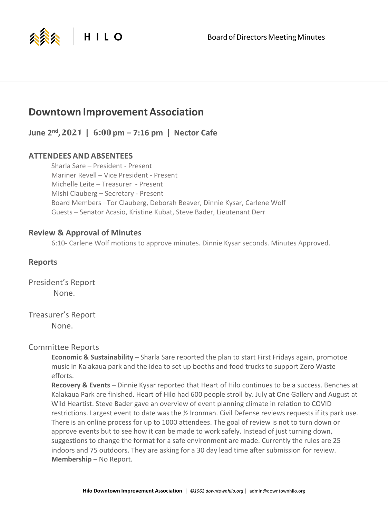

# **Downtown Improvement Association**

**June 2nd, 2021 | 6:00 pm – 7:16 pm | Nector Cafe**

## **ATTENDEES ANDABSENTEES**

Sharla Sare – President - Present Mariner Revell – Vice President - Present Michelle Leite – Treasurer - Present Mishi Clauberg – Secretary - Present Board Members –Tor Clauberg, Deborah Beaver, Dinnie Kysar, Carlene Wolf Guests – Senator Acasio, Kristine Kubat, Steve Bader, Lieutenant Derr

# **Review & Approval of Minutes**

6:10- Carlene Wolf motions to approve minutes. Dinnie Kysar seconds. Minutes Approved.

## **Reports**

President's Report None.

Treasurer's Report

None.

## Committee Reports

**Economic & Sustainability** – Sharla Sare reported the plan to start First Fridays again, promotoe music in Kalakaua park and the idea to set up booths and food trucks to support Zero Waste efforts.

**Recovery & Events** – Dinnie Kysar reported that Heart of Hilo continues to be a success. Benches at Kalakaua Park are finished. Heart of Hilo had 600 people stroll by. July at One Gallery and August at Wild Heartist. Steve Bader gave an overview of event planning climate in relation to COVID restrictions. Largest event to date was the ½ Ironman. Civil Defense reviews requests if its park use. There is an online process for up to 1000 attendees. The goal of review is not to turn down or approve events but to see how it can be made to work safely. Instead of just turning down, suggestions to change the format for a safe environment are made. Currently the rules are 25 indoors and 75 outdoors. They are asking for a 30 day lead time after submission for review. **Membership** – No Report.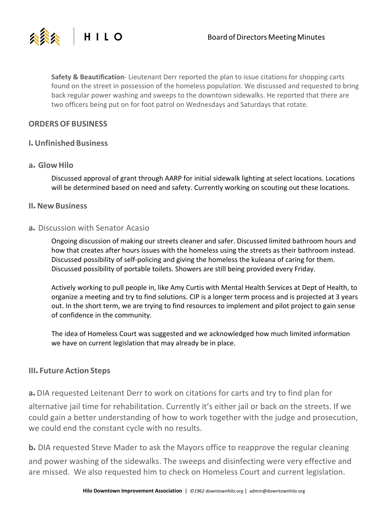

**Safety & Beautification**- Lieutenant Derr reported the plan to issue citations for shopping carts found on the street in possession of the homeless population. We discussed and requested to bring back regular power washing and sweeps to the downtown sidewalks. He reported that there are two officers being put on for foot patrol on Wednesdays and Saturdays that rotate.

## **ORDERSOF BUSINESS**

HILO

## **I. Unfinished Business**

#### **a. Glow Hilo**

公公公

Discussed approval of grant through AARP for initial sidewalk lighting at select locations. Locations will be determined based on need and safety. Currently working on scouting out these locations.

#### **II. New Business**

#### **a.** Discussion with Senator Acasio

Ongoing discussion of making our streets cleaner and safer. Discussed limited bathroom hours and how that creates after hours issues with the homeless using the streets as their bathroom instead. Discussed possibility of self-policing and giving the homeless the kuleana of caring for them. Discussed possibility of portable toilets. Showers are still being provided every Friday.

Actively working to pull people in, like Amy Curtis with Mental Health Services at Dept of Health, to organize a meeting and try to find solutions. CIP is a longer term process and is projected at 3 years out. In the short term, we are trying to find resources to implement and pilot project to gain sense of confidence in the community.

The idea of Homeless Court was suggested and we acknowledged how much limited information we have on current legislation that may already be in place.

### **III. Future Action Steps**

**a.** DIA requested Leitenant Derr to work on citations for carts and try to find plan for

alternative jail time for rehabilitation. Currently it's either jail or back on the streets. If we could gain a better understanding of how to work together with the judge and prosecution, we could end the constant cycle with no results.

**b.** DIA requested Steve Mader to ask the Mayors office to reapprove the regular cleaning and power washing of the sidewalks. The sweeps and disinfecting were very effective and are missed. We also requested him to check on Homeless Court and current legislation.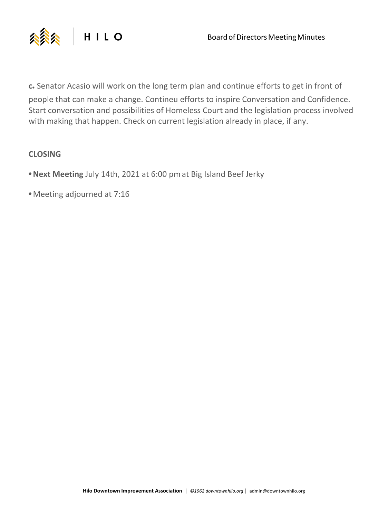

**c.** Senator Acasio will work on the long term plan and continue efforts to get in front of people that can make a change. Contineu efforts to inspire Conversation and Confidence. Start conversation and possibilities of Homeless Court and the legislation process involved with making that happen. Check on current legislation already in place, if any.

# **CLOSING**

- **•Next Meeting** July 14th, 2021 at 6:00 pmat Big Island Beef Jerky
- **•** Meeting adjourned at 7:16